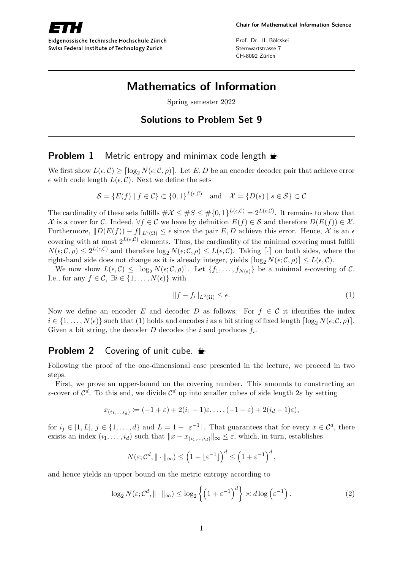Swiss Federal Institute of Technology Zurich

Prof. Dr. H. Bölcskei Sternwartstrasse 7 CH-8092 Zürich

# **Mathematics of Information**

Spring semester 2022

# **Solutions to Problem Set 9**

### **Problem 1** Metric entropy and minimax code length  $\triangle$

We first show  $L(\epsilon, C) \geq \lceil \log_2 N(\epsilon; C, \rho) \rceil$ . Let *E*, *D* be an encoder decoder pair that achieve error  $\epsilon$  with code length  $L(\epsilon, \mathcal{C})$ . Next we define the sets

$$
\mathcal{S} = \{ E(f) \mid f \in \mathcal{C} \} \subset \{0, 1\}^{L(\epsilon, \mathcal{C})} \quad \text{and} \quad \mathcal{X} = \{ D(s) \mid s \in \mathcal{S} \} \subset \mathcal{C}
$$

The cardinality of these sets fulfills  $\#\mathcal{X} \leq \#\mathcal{S} \leq \#\{0,1\}^{L(\epsilon,\mathcal{C})} = 2^{L(\epsilon,\mathcal{C})}$ . It remains to show that X is a cover for C. Indeed,  $\forall f \in C$  we have by definition  $E(f) \in S$  and therefore  $D(E(f)) \in X$ . Furthermore,  $||D(E(f)) - f||_{L^2(\Omega)} \leq \epsilon$  since the pair *E*, *D* achieve this error. Hence, *X* is an  $\epsilon$ covering with at most  $2^{L(\epsilon,\mathcal{C})}$  elements. Thus, the cardinality of the minimal covering must fulfill  $N(\epsilon; \mathcal{C}, \rho) \leq 2^{L(\epsilon, \mathcal{C})}$  and therefore  $\log_2 N(\epsilon; \mathcal{C}, \rho) \leq L(\epsilon, \mathcal{C})$ . Taking  $\lceil \cdot \rceil$  on both sides, where the right-hand side does not change as it is already integer, yields  $\lceil \log_2 N(\epsilon; \mathcal{C}, \rho) \rceil \le L(\epsilon, \mathcal{C})$ .

We now show  $L(\epsilon, C) \leq \lceil \log_2 N(\epsilon; C, \rho) \rceil$ . Let  $\{f_1, \ldots, f_{N(\epsilon)}\}$  be a minimal  $\epsilon$ -covering of C. I.e., for any  $f \in \mathcal{C}$ ,  $\exists i \in \{1, \ldots, N(\epsilon)\}\$  with

$$
||f - f_i||_{L^2(\Omega)} \le \epsilon. \tag{1}
$$

Now we define an encoder *E* and decoder *D* as follows. For  $f \in C$  it identifies the index  $i \in \{1, \ldots, N(\epsilon)\}\$  such that (1) holds and encodes *i* as a bit string of fixed length  $\lceil \log_2 N(\epsilon; \mathcal{C}, \rho) \rceil$ . Given a bit string, the decoder  $D$  decodes the  $i$  and produces  $f_i$ .

#### **Problem 2** Covering of unit cube.

Following the proof of the one-dimensional case presented in the lecture, we proceed in two steps.

First, we prove an upper-bound on the covering number. This amounts to constructing an *ε*-cover of  $\mathcal{C}^d$ . To this end, we divide  $\mathcal{C}^d$  up into smaller cubes of side length  $2\varepsilon$  by setting

$$
x_{(i_1,\ldots,i_d)} \coloneqq (-1+\varepsilon)+2(i_1-1)\varepsilon,\ldots,(-1+\varepsilon)+2(i_d-1)\varepsilon,
$$

for  $i_j \in [1, L], j \in \{1, \ldots, d\}$  and  $L = 1 + \lfloor \varepsilon^{-1} \rfloor$ . That guarantees that for every  $x \in C^d$ , there exists an index  $(i_1, \ldots, i_d)$  such that  $||x - x(i_1, \ldots, i_d)||_{\infty} \leq \varepsilon$ , which, in turn, establishes

$$
N(\varepsilon; \mathcal{C}^d, \|\cdot\|_{\infty}) \le \left(1 + \lfloor \varepsilon^{-1} \rfloor\right)^d \le \left(1 + \varepsilon^{-1}\right)^d,
$$

and hence yields an upper bound on the metric entropy according to

$$
\log_2 N(\varepsilon; \mathcal{C}^d, \|\cdot\|_{\infty}) \le \log_2 \left\{ \left(1 + \varepsilon^{-1}\right)^d \right\} \asymp d \log \left(\varepsilon^{-1}\right). \tag{2}
$$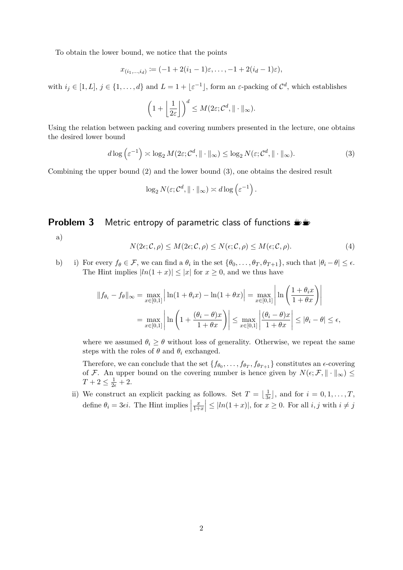To obtain the lower bound, we notice that the points

$$
x_{(i_1,...,i_d)} := (-1 + 2(i_1 - 1)\varepsilon, \ldots, -1 + 2(i_d - 1)\varepsilon),
$$

with  $i_j \in [1, L], j \in \{1, \ldots, d\}$  and  $L = 1 + \lfloor \varepsilon^{-1} \rfloor$ , form an  $\varepsilon$ -packing of  $\mathcal{C}^d$ , which establishes

$$
\left(1+\left\lfloor\frac{1}{2\varepsilon}\right\rfloor\right)^d \leq M(2\varepsilon;\mathcal{C}^d,\|\cdot\|_{\infty}).
$$

Using the relation between packing and covering numbers presented in the lecture, one obtains the desired lower bound

$$
d\log\left(\varepsilon^{-1}\right) \asymp \log_2 M(2\varepsilon; \mathcal{C}^d, \|\cdot\|_{\infty}) \le \log_2 N(\varepsilon; \mathcal{C}^d, \|\cdot\|_{\infty}).\tag{3}
$$

Combining the upper bound (2) and the lower bound (3), one obtains the desired result

$$
\log_2 N(\varepsilon; \mathcal{C}^d, \|\cdot\|_{\infty}) \asymp d \log \left(\varepsilon^{-1}\right).
$$

# **Problem 3** Metric entropy of parametric class of functions  $\mathbf{L}$

a)

$$
N(2\epsilon; \mathcal{C}, \rho) \le M(2\epsilon; \mathcal{C}, \rho) \le N(\epsilon; \mathcal{C}, \rho) \le M(\epsilon; \mathcal{C}, \rho).
$$
\n(4)

b) i) For every  $f_{\theta} \in \mathcal{F}$ , we can find a  $\theta_i$  in the set  $\{\theta_0, \ldots, \theta_T, \theta_{T+1}\}$ , such that  $|\theta_i - \theta| \le \epsilon$ . The Hint implies  $|ln(1+x)| \leq |x|$  for  $x \geq 0$ , and we thus have

$$
||f_{\theta_i} - f_{\theta}||_{\infty} = \max_{x \in [0,1]} \left| \ln(1 + \theta_i x) - \ln(1 + \theta x) \right| = \max_{x \in [0,1]} \left| \ln \left( \frac{1 + \theta_i x}{1 + \theta x} \right) \right|
$$
  
= 
$$
\max_{x \in [0,1]} \left| \ln \left( 1 + \frac{(\theta_i - \theta)x}{1 + \theta x} \right) \right| \le \max_{x \in [0,1]} \left| \frac{(\theta_i - \theta)x}{1 + \theta x} \right| \le |\theta_i - \theta| \le \epsilon,
$$

where we assumed  $\theta_i \geq \theta$  without loss of generality. Otherwise, we repeat the same steps with the roles of  $\theta$  and  $\theta_i$  exchanged.

Therefore, we can conclude that the set  $\{f_{\theta_0}, \ldots, f_{\theta_T}, f_{\theta_{T+1}}\}$  constitutes an  $\epsilon$ -covering of F. An upper bound on the covering number is hence given by  $N(\epsilon; \mathcal{F}, \|\cdot\|_{\infty}) \leq$  $T + 2 \leq \frac{1}{2\epsilon} + 2.$ 

ii) We construct an explicit packing as follows. Set  $T = \frac{1}{3}$  $\frac{1}{3\epsilon}$ , and for  $i = 0, 1, \ldots, T$ , define  $\theta_i = 3\epsilon i$ . The Hint implies  $\Big|$ *x*  $\left|\frac{x}{1+x}\right| \leq |ln(1+x)|$ , for  $x \geq 0$ . For all  $i, j$  with  $i \neq j$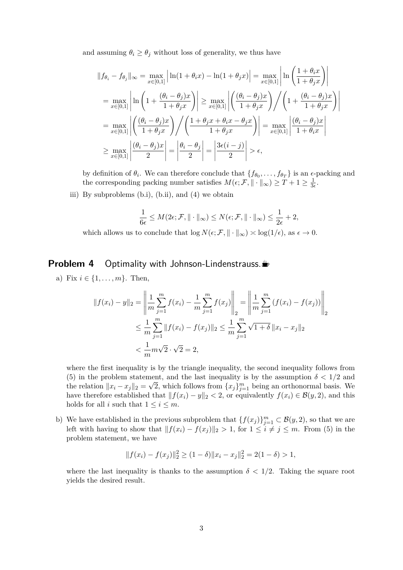and assuming  $\theta_i \geq \theta_j$  without loss of generality, we thus have

$$
||f_{\theta_i} - f_{\theta_j}||_{\infty} = \max_{x \in [0,1]} \left| \ln(1 + \theta_i x) - \ln(1 + \theta_j x) \right| = \max_{x \in [0,1]} \left| \ln \left( \frac{1 + \theta_i x}{1 + \theta_j x} \right) \right|
$$
  
= 
$$
\max_{x \in [0,1]} \left| \ln \left( 1 + \frac{(\theta_i - \theta_j)x}{1 + \theta_j x} \right) \right| \ge \max_{x \in [0,1]} \left| \left( \frac{(\theta_i - \theta_j)x}{1 + \theta_j x} \right) \right| \left( 1 + \frac{(\theta_i - \theta_j)x}{1 + \theta_j x} \right) \right|
$$
  
= 
$$
\max_{x \in [0,1]} \left| \left( \frac{(\theta_i - \theta_j)x}{1 + \theta_j x} \right) \right| \left( \frac{1 + \theta_j x + \theta_i x - \theta_j x}{1 + \theta_j x} \right) \right| = \max_{x \in [0,1]} \left| \frac{(\theta_i - \theta_j)x}{1 + \theta_i x} \right|
$$
  

$$
\ge \max_{x \in [0,1]} \left| \frac{(\theta_i - \theta_j)x}{2} \right| = \left| \frac{\theta_i - \theta_j}{2} \right| = \left| \frac{3\epsilon(i - j)}{2} \right| > \epsilon,
$$

by definition of  $\theta_i$ . We can therefore conclude that  $\{f_{\theta_0}, \ldots, f_{\theta_T}\}$  is an  $\epsilon$ -packing and the corresponding packing number satisfies  $M(\epsilon; \mathcal{F}, \|\cdot\|_{\infty}) \geq T + 1 \geq \frac{1}{3}$  $\frac{1}{3\epsilon}$ .

iii) By subproblems (b.i), (b.ii), and (4) we obtain

$$
\frac{1}{6\epsilon} \le M(2\epsilon; \mathcal{F}, \|\cdot\|_{\infty}) \le N(\epsilon; \mathcal{F}, \|\cdot\|_{\infty}) \le \frac{1}{2\epsilon} + 2,
$$

which allows us to conclude that  $\log N(\epsilon; \mathcal{F}, \|\cdot\|_{\infty}) \asymp \log(1/\epsilon)$ , as  $\epsilon \to 0$ .

# **Problem 4** Optimality with Johnson-Lindenstrauss.

a) Fix  $i \in \{1, ..., m\}$ . Then,

$$
||f(x_i) - y||_2 = \left\| \frac{1}{m} \sum_{j=1}^m f(x_j) - \frac{1}{m} \sum_{j=1}^m f(x_j) \right\|_2 = \left\| \frac{1}{m} \sum_{j=1}^m (f(x_i) - f(x_j)) \right\|_2
$$
  

$$
\leq \frac{1}{m} \sum_{j=1}^m ||f(x_i) - f(x_j)||_2 \leq \frac{1}{m} \sum_{j=1}^m \sqrt{1 + \delta} ||x_i - x_j||_2
$$
  

$$
< \frac{1}{m} m\sqrt{2} \cdot \sqrt{2} = 2,
$$

where the first inequality is by the triangle inequality, the second inequality follows from (5) in the problem statement, and the last inequality is by the assumption  $\delta < 1/2$  and the relation  $||x_i - x_j||_2 = \sqrt{2}$ , which follows from  $\{x_j\}_{j=1}^m$  being an orthonormal basis. We have therefore established that  $||f(x_i) - y||_2 < 2$ , or equivalently  $f(x_i) \in \mathcal{B}(y, 2)$ , and this holds for all *i* such that  $1 \leq i \leq m$ .

b) We have established in the previous subproblem that  ${f(x_j)}_{j=1}^m \subset B(y, 2)$ , so that we are left with having to show that  $||f(x_i) - f(x_j)||_2 > 1$ , for  $1 \leq i \neq j \leq m$ . From (5) in the problem statement, we have

$$
|| f(x_i) - f(x_j)||_2^2 \ge (1 - \delta) ||x_i - x_j||_2^2 = 2(1 - \delta) > 1,
$$

where the last inequality is thanks to the assumption  $\delta$  < 1/2. Taking the square root yields the desired result.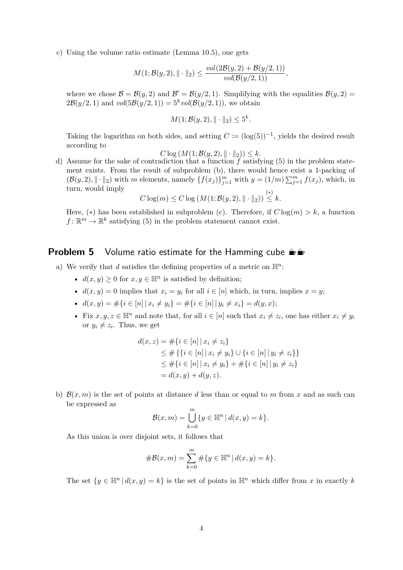c) Using the volume ratio estimate (Lemma 10.5), one gets

$$
M(1; \mathcal{B}(y, 2), \|\cdot\|_2) \le \frac{vol(2\mathcal{B}(y, 2) + \mathcal{B}(y/2, 1))}{vol(\mathcal{B}(y/2, 1))},
$$

where we chose  $\mathcal{B} = \mathcal{B}(y, 2)$  and  $\mathcal{B}' = \mathcal{B}(y/2, 1)$ . Simplifying with the equalities  $\mathcal{B}(y, 2) =$  $2\mathcal{B}(y/2, 1)$  and  $vol(5\mathcal{B}(y/2, 1)) = 5<sup>k</sup> vol(\mathcal{B}(y/2, 1)),$  we obtain

$$
M(1; \mathcal{B}(y, 2), \|\cdot\|_2) \le 5^k.
$$

Taking the logarithm on both sides, and setting  $C := (\log(5))^{-1}$ , yields the desired result according to

$$
C \log(M(1; \mathcal{B}(y, 2), \|\cdot\|_2)) \leq k.
$$

d) Assume for the sake of contradiction that a function *f* satisfying (5) in the problem statement exists. From the result of subproblem (b), there would hence exist a 1-packing of  $(\mathcal{B}(y, 2), \|\cdot\|_2)$  with *m* elements, namely  $\{f(x_j)\}_{j=1}^m$  with  $y = (1/m)\sum_{j=1}^m f(x_j)$ , which, in turn, would imply (∗)

$$
C \log(m) \leq C \log(M(1; \mathcal{B}(y, 2), \|\cdot\|_2)) \leq k.
$$

Here,  $(*)$  has been established in subproblem (c). Therefore, if  $C \log(m) > k$ , a function  $f: \mathbb{R}^m \to \mathbb{R}^k$  satisfying (5) in the problem statement cannot exist.

#### **Problem 5** Volume ratio estimate for the Hamming cube  $\psi$

- a) We verify that  $d$  satisfies the defining properties of a metric on  $\mathbb{H}^n$ :
	- $d(x, y) \geq 0$  for  $x, y \in \mathbb{H}^n$  is satisfied by definition;
	- $d(x, y) = 0$  implies that  $x_i = y_i$  for all  $i \in [n]$  which, in turn, implies  $x = y$ ;
	- $d(x, y) = #\{i \in [n] | x_i \neq y_i\} = #\{i \in [n] | y_i \neq x_i\} = d(y, x);$
	- Fix  $x, y, z \in \mathbb{H}^n$  and note that, for all  $i \in [n]$  such that  $x_i \neq z_i$ , one has either  $x_i \neq y_i$ or  $y_i \neq z_i$ . Thus, we get

$$
d(x, z) = #\{i \in [n] | x_i \neq z_i\}
$$
  
\n
$$
\leq #\{\{i \in [n] | x_i \neq y_i\} \cup \{i \in [n] | y_i \neq z_i\}\}
$$
  
\n
$$
\leq #\{i \in [n] | x_i \neq y_i\} + #\{i \in [n] | y_i \neq z_i\}
$$
  
\n
$$
= d(x, y) + d(y, z).
$$

b)  $\mathcal{B}(x,m)$  is the set of points at distance d less than or equal to m from x and as such can be expressed as

$$
\mathcal{B}(x,m) = \bigcup_{k=0}^{m} \{ y \in \mathbb{H}^n \, | \, d(x,y) = k \}.
$$

As this union is over disjoint sets, it follows that

$$
\#\mathcal{B}(x,m) = \sum_{k=0}^{m} \#\{y \in \mathbb{H}^n \, | \, d(x,y) = k\}.
$$

The set  $\{y \in \mathbb{H}^n \mid d(x, y) = k\}$  is the set of points in  $\mathbb{H}^n$  which differ from *x* in exactly *k*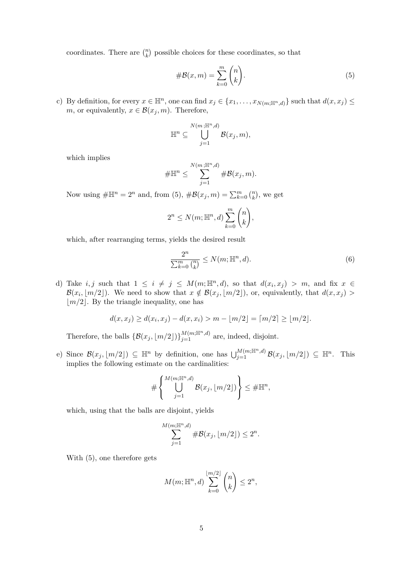coordinates. There are  $\binom{n}{k}$  possible choices for these coordinates, so that

$$
\#B(x,m) = \sum_{k=0}^{m} \binom{n}{k}.\tag{5}
$$

c) By definition, for every  $x \in \mathbb{H}^n$ , one can find  $x_j \in \{x_1, \ldots, x_{N(m; \mathbb{H}^n, d)}\}$  such that  $d(x, x_j) \leq$ *m*, or equivalently,  $x \in \mathcal{B}(x_j, m)$ . Therefore,

$$
\mathbb{H}^n \subseteq \bigcup_{j=1}^{N(m;\mathbb{H}^n,d)} \mathcal{B}(x_j,m),
$$

which implies

$$
\#\mathbb{H}^n \leq \sum_{j=1}^{N(m;\mathbb{H}^n,d)} \#\mathcal{B}(x_j,m).
$$

Now using  $\#\mathbb{H}^n = 2^n$  and, from (5),  $\#\mathcal{B}(x_j, m) = \sum_{k=0}^m {n \choose k}$ , we get

$$
2^{n} \leq N(m; \mathbb{H}^{n}, d) \sum_{k=0}^{m} {n \choose k},
$$

which, after rearranging terms, yields the desired result

$$
\frac{2^n}{\sum_{k=0}^m \binom{n}{k}} \le N(m; \mathbb{H}^n, d). \tag{6}
$$

d) Take *i, j* such that  $1 \leq i \neq j \leq M(m; \mathbb{H}^n, d)$ , so that  $d(x_i, x_j) > m$ , and fix  $x \in$  $\mathcal{B}(x_i, \lfloor m/2 \rfloor)$ . We need to show that  $x \notin \mathcal{B}(x_j, \lfloor m/2 \rfloor)$ , or, equivalently, that  $d(x, x_j)$  >  $|m/2|$ . By the triangle inequality, one has

$$
d(x, x_j) \ge d(x_i, x_j) - d(x, x_i) > m - \lfloor m/2 \rfloor = \lceil m/2 \rceil \ge \lfloor m/2 \rfloor.
$$

Therefore, the balls  $\{\mathcal{B}(x_j, \lfloor m/2 \rfloor)\}_{j=1}^{M(m;\mathbb{H}^n,d)}$  are, indeed, disjoint.

e) Since  $\mathcal{B}(x_j, \lfloor m/2 \rfloor) \subseteq \mathbb{H}^n$  by definition, one has  $\bigcup_{j=1}^{M(m;\mathbb{H}^n,d)} \mathcal{B}(x_j, \lfloor m/2 \rfloor) \subseteq \mathbb{H}^n$ . This implies the following estimate on the cardinalities:

$$
\#\left\{\bigcup_{j=1}^{M(m;\mathbb{H}^n,d)}\mathcal{B}(x_j,\lfloor m/2\rfloor)\right\}\leq \#\mathbb{H}^n,
$$

which, using that the balls are disjoint, yields

$$
\sum_{j=1}^{M(m;\mathbb{H}^n,d)}\#\mathcal{B}(x_j,[m/2])\leq 2^n.
$$

With (5), one therefore gets

$$
M(m; \mathbb{H}^n, d) \sum_{k=0}^{\lfloor m/2 \rfloor} \binom{n}{k} \le 2^n,
$$